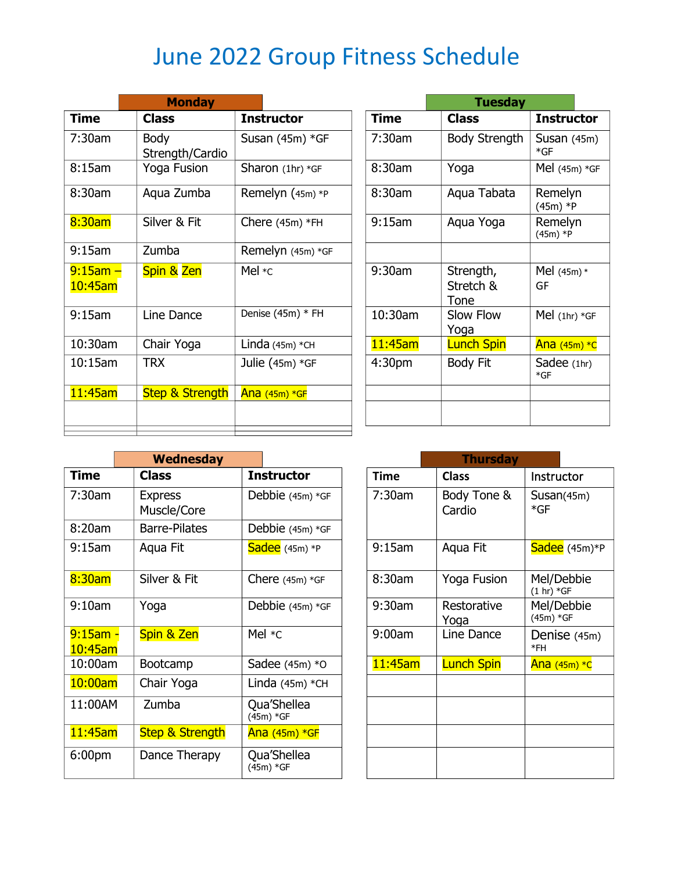## June 2022 Group Fitness Schedule

|                          | <b>Monday</b>                  |                   |                    | <b>Tuesday</b>                 |                       |
|--------------------------|--------------------------------|-------------------|--------------------|--------------------------------|-----------------------|
| <b>Time</b>              | <b>Class</b>                   | <b>Instructor</b> | <b>Time</b>        | <b>Class</b>                   | <b>Instructor</b>     |
| 7:30am                   | <b>Body</b><br>Strength/Cardio | Susan (45m) *GF   | 7:30am             | Body Strength                  | Susan (45m)<br>$*GF$  |
| 8:15am                   | Yoga Fusion                    | Sharon $(1hr)*GF$ | 8:30am             | Yoga                           | Mel (45m) *GF         |
| 8:30am                   | Aqua Zumba                     | Remelyn (45m) *P  | 8:30am             | Aqua Tabata                    | Remelyn<br>$(45m) *P$ |
| 8:30am                   | Silver & Fit                   | Chere $(45m)$ *FH | 9:15am             | Aqua Yoga                      | Remelyn<br>$(45m)*P$  |
| 9:15am                   | Zumba                          | Remelyn (45m) *GF |                    |                                |                       |
| $9:15$ am $-$<br>10:45am | Spin & Zen                     | Mel $*$ c         | $9:30$ am          | Strength,<br>Stretch &<br>Tone | Mel (45m) *<br>GF     |
| 9:15am                   | Line Dance                     | Denise (45m) * FH | 10:30am            | Slow Flow<br>Yoga              | Mel $(1hr) * GF$      |
| 10:30am                  | Chair Yoga                     | Linda $(45m)$ *CH | 11:45am            | <b>Lunch Spin</b>              | Ana (45m) *C          |
| 10:15am                  | <b>TRX</b>                     | Julie (45m) *GF   | 4:30 <sub>pm</sub> | <b>Body Fit</b>                | Sadee (1hr)<br>$*GF$  |
| 11:45am                  | <b>Step &amp; Strength</b>     | Ana (45m) *GF     |                    |                                |                       |
|                          |                                |                   |                    |                                |                       |
|                          |                                |                   |                    |                                |                       |

|                                       |             | <b>Tuesday</b>                 |                       |
|---------------------------------------|-------------|--------------------------------|-----------------------|
| <b>Instructor</b>                     | <b>Time</b> | <b>Class</b>                   | <b>Instructor</b>     |
| Susan (45m) *GF                       | 7:30am      | Body Strength                  | Susan (45m)<br>$*$ GF |
| Sharon (1hr) *GF                      | 8:30am      | Yoga                           | Mel $(45m)$ *GF       |
| Remelyn (45m) *P                      | 8:30am      | Aqua Tabata                    | Remelyn<br>$(45m) *P$ |
| Chere (45m) *FH                       | 9:15am      | Aqua Yoga                      | Remelyn<br>$(45m)*P$  |
| Remelyn (45m) *GF                     |             |                                |                       |
| Mel *c                                | 9:30am      | Strength,<br>Stretch &<br>Tone | Mel $(45m)*$<br>GF    |
| Denise (45m) * FH                     | 10:30am     | Slow Flow<br>Yoga              | Mel $(1hr) *GF$       |
| Linda (45m) *CH                       | 11:45am     | <b>Lunch Spin</b>              | Ana (45m) *C          |
| Julie (45m) *GF                       | 4:30pm      | <b>Body Fit</b>                | Sadee (1hr)<br>$*GF$  |
| <mark>Ana <sub>(45m)</sub> *gF</mark> |             |                                |                       |
|                                       |             |                                |                       |

|                           | <b>Wednesday</b>              |                          |             | <b>Thursday</b>       |                                     |
|---------------------------|-------------------------------|--------------------------|-------------|-----------------------|-------------------------------------|
| <b>Time</b>               | <b>Class</b>                  | <b>Instructor</b>        | <b>Time</b> | <b>Class</b>          | Instructor                          |
| 7:30am                    | <b>Express</b><br>Muscle/Core | Debbie (45m) *GF         | 7:30am      | Body Tone &<br>Cardio | Susan(45m)<br>$*GF$                 |
| 8:20am                    | <b>Barre-Pilates</b>          | Debbie (45m) *GF         |             |                       |                                     |
| 9:15am                    | Aqua Fit                      | Sadee (45m) *P           | 9:15am      | Aqua Fit              | Sadee (45m)*P                       |
| 8:30am                    | Silver & Fit                  | Chere $(45m)*GF$         | 8:30am      | Yoga Fusion           | Mel/Debbie<br>$(1 \text{ hr}) * GF$ |
| 9:10am                    | Yoga                          | Debbie (45m) *GF         | $9:30$ am   | Restorative<br>Yoga   | Mel/Debbie<br>$(45m)*GF$            |
| $9:15$ am -<br>$10:45$ am | Spin & Zen                    | Mel $*C$                 | 9:00am      | Line Dance            | Denise (45m)<br>$*FH$               |
| 10:00am                   | Bootcamp                      | Sadee $(45m)*O$          | 11:45am     | <b>Lunch Spin</b>     | Ana $(45m)*C$                       |
| 10:00am                   | Chair Yoga                    | Linda $(45m)$ *CH        |             |                       |                                     |
| 11:00AM                   | Zumba                         | Qua'Shellea<br>(45m) *GF |             |                       |                                     |
| $11:45$ am                | <b>Step &amp; Strength</b>    | <b>Ana</b> (45m) *GF     |             |                       |                                     |
| 6:00 <sub>pm</sub>        | Dance Therapy                 | Qua'Shellea<br>(45m) *GF |             |                       |                                     |

| Wednesday                     |                          |             | <b>Thursday</b>       |                                     |
|-------------------------------|--------------------------|-------------|-----------------------|-------------------------------------|
| <b>Class</b>                  | <b>Instructor</b>        | <b>Time</b> | <b>Class</b>          | <b>Instructor</b>                   |
| <b>Express</b><br>Muscle/Core | Debbie (45m) *GF         | 7:30am      | Body Tone &<br>Cardio | Susan(45m)<br>$*GF$                 |
| <b>Barre-Pilates</b>          | Debbie (45m) *GF         |             |                       |                                     |
| Aqua Fit                      | Sadee (45m) *P           | 9:15am      | Aqua Fit              | Sadee (45m)*P                       |
| Silver & Fit                  | Chere $(45m)*GF$         | 8:30am      | Yoga Fusion           | Mel/Debbie<br>$(1 \text{ hr}) * GF$ |
| Yoga                          | Debbie $(45m) *GF$       | 9:30am      | Restorative<br>Yoga   | Mel/Debbie<br>$(45m) * GF$          |
| Spin & Zen                    | Mel $*C$                 | 9:00am      | Line Dance            | Denise (45m)<br>*FH                 |
| Bootcamp                      | Sadee $(45m)*O$          | 11:45am     | <b>Lunch Spin</b>     | $Ana$ (45m) $*c$                    |
| Chair Yoga                    | Linda $(45m)$ *CH        |             |                       |                                     |
| Zumba                         | Qua'Shellea<br>(45m) *GF |             |                       |                                     |
| <b>Step &amp; Strength</b>    | <b>Ana</b> (45m) *GF     |             |                       |                                     |
| Dance Therapy                 | Qua'Shellea<br>(45m) *GF |             |                       |                                     |